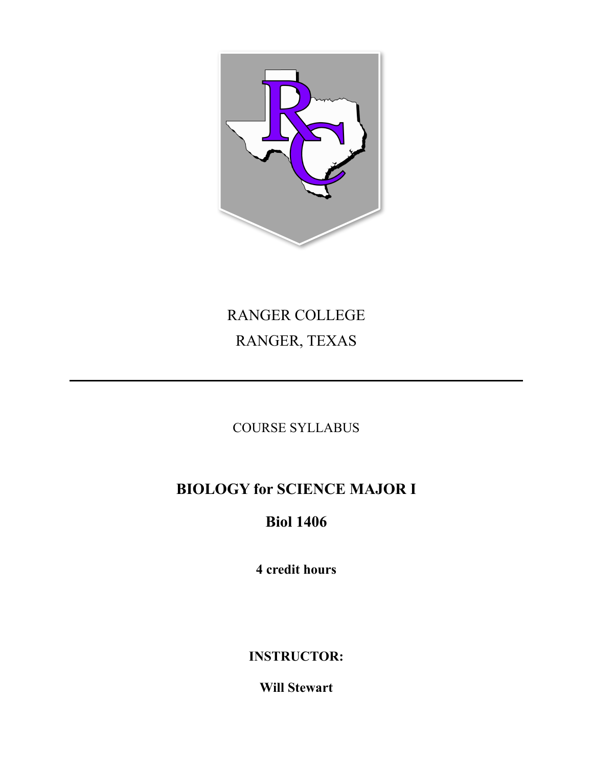

# RANGER COLLEGE RANGER, TEXAS

COURSE SYLLABUS

## **BIOLOGY for SCIENCE MAJOR I**

## **Biol 1406**

**4 credit hours** 

**INSTRUCTOR:** 

**Will Stewart**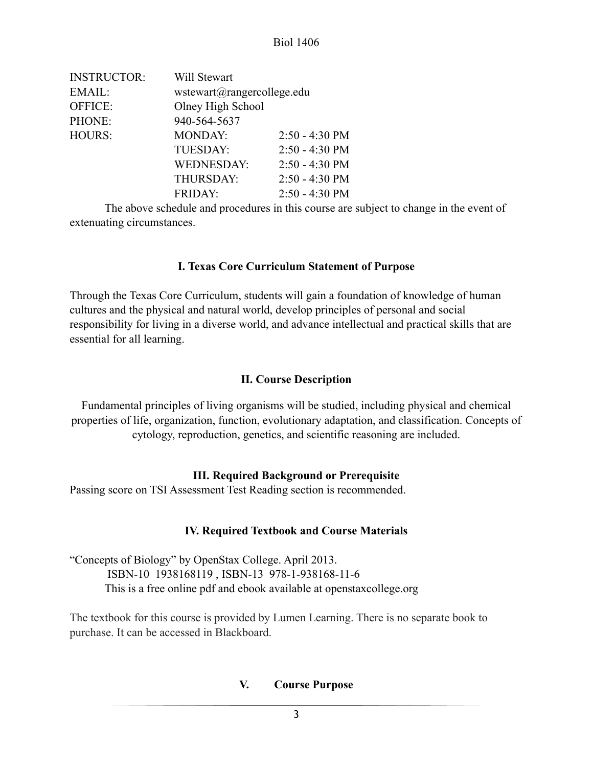| <b>INSTRUCTOR:</b> | Will Stewart               |                          |  |
|--------------------|----------------------------|--------------------------|--|
| EMAIL:             | wstewart@rangercollege.edu |                          |  |
| OFFICE:            | Olney High School          |                          |  |
| PHONE:             | 940-564-5637               |                          |  |
| <b>HOURS:</b>      | <b>MONDAY:</b>             | $2:50 - 4:30 \text{ PM}$ |  |
|                    | <b>TUESDAY:</b>            | $2:50 - 4:30 \text{ PM}$ |  |
|                    | <b>WEDNESDAY:</b>          | $2:50 - 4:30$ PM         |  |
|                    | THURSDAY:                  | $2:50 - 4:30$ PM         |  |
|                    | <b>FRIDAY:</b>             | $2:50 - 4:30$ PM         |  |

 The above schedule and procedures in this course are subject to change in the event of extenuating circumstances.

## **I. Texas Core Curriculum Statement of Purpose**

Through the Texas Core Curriculum, students will gain a foundation of knowledge of human cultures and the physical and natural world, develop principles of personal and social responsibility for living in a diverse world, and advance intellectual and practical skills that are essential for all learning.

### **II. Course Description**

Fundamental principles of living organisms will be studied, including physical and chemical properties of life, organization, function, evolutionary adaptation, and classification. Concepts of cytology, reproduction, genetics, and scientific reasoning are included.

## **III. Required Background or Prerequisite**

Passing score on TSI Assessment Test Reading section is recommended.

## **IV. Required Textbook and Course Materials**

"Concepts of Biology" by OpenStax College. April 2013. ISBN-10 1938168119 , ISBN-13 978-1-938168-11-6 This is a free online pdf and ebook available at openstaxcollege.org

The textbook for this course is provided by Lumen Learning. There is no separate book to purchase. It can be accessed in Blackboard.

## **V. Course Purpose**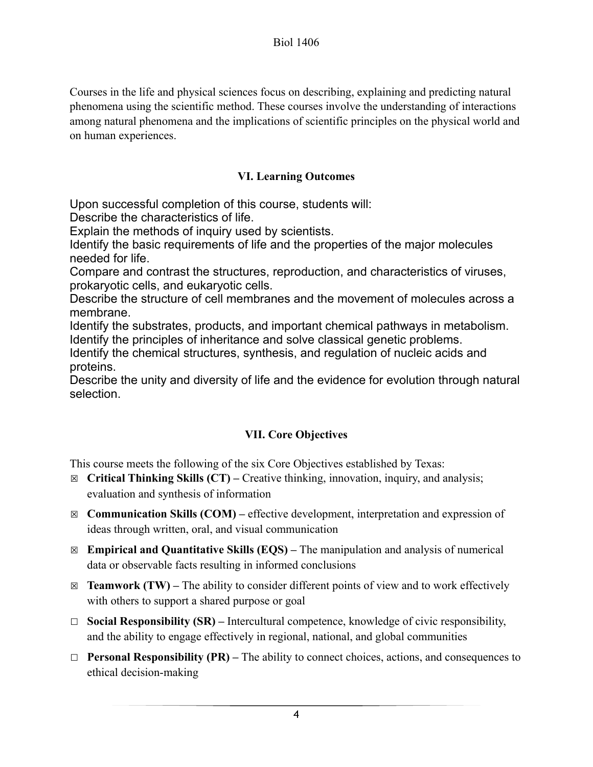Courses in the life and physical sciences focus on describing, explaining and predicting natural phenomena using the scientific method. These courses involve the understanding of interactions among natural phenomena and the implications of scientific principles on the physical world and on human experiences.

## **VI. Learning Outcomes**

Upon successful completion of this course, students will:

Describe the characteristics of life.

Explain the methods of inquiry used by scientists.

Identify the basic requirements of life and the properties of the major molecules needed for life.

Compare and contrast the structures, reproduction, and characteristics of viruses, prokaryotic cells, and eukaryotic cells.

Describe the structure of cell membranes and the movement of molecules across a membrane.

Identify the substrates, products, and important chemical pathways in metabolism. Identify the principles of inheritance and solve classical genetic problems.

Identify the chemical structures, synthesis, and regulation of nucleic acids and proteins.

Describe the unity and diversity of life and the evidence for evolution through natural selection.

## **VII. Core Objectives**

This course meets the following of the six Core Objectives established by Texas:

- ☒ **Critical Thinking Skills (CT)** Creative thinking, innovation, inquiry, and analysis; evaluation and synthesis of information
- ☒ **Communication Skills (COM)** effective development, interpretation and expression of ideas through written, oral, and visual communication
- ☒ **Empirical and Quantitative Skills (EQS)** The manipulation and analysis of numerical data or observable facts resulting in informed conclusions
- $\boxtimes$  **Teamwork (TW)** The ability to consider different points of view and to work effectively with others to support a shared purpose or goal
- ☐ **Social Responsibility (SR)** Intercultural competence, knowledge of civic responsibility, and the ability to engage effectively in regional, national, and global communities
- ☐ **Personal Responsibility (PR)** The ability to connect choices, actions, and consequences to ethical decision-making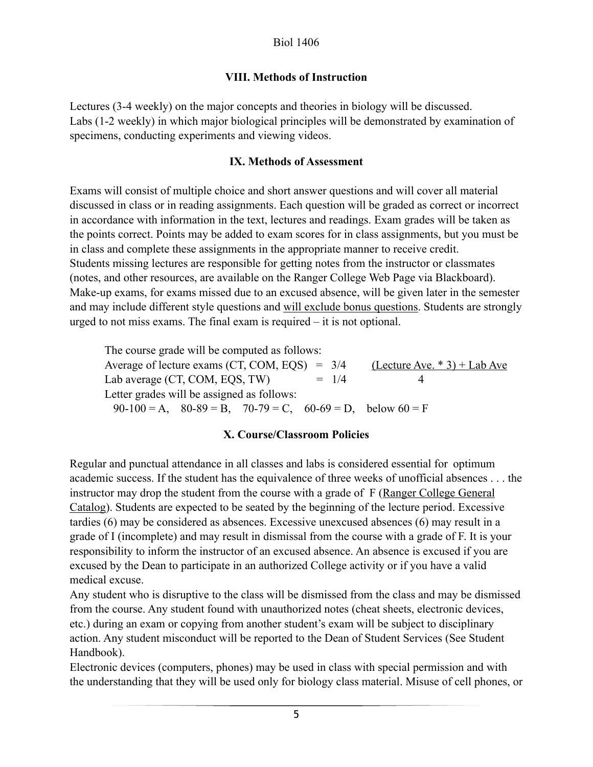### **VIII. Methods of Instruction**

Lectures (3-4 weekly) on the major concepts and theories in biology will be discussed. Labs (1-2 weekly) in which major biological principles will be demonstrated by examination of specimens, conducting experiments and viewing videos.

#### **IX. Methods of Assessment**

Exams will consist of multiple choice and short answer questions and will cover all material discussed in class or in reading assignments. Each question will be graded as correct or incorrect in accordance with information in the text, lectures and readings. Exam grades will be taken as the points correct. Points may be added to exam scores for in class assignments, but you must be in class and complete these assignments in the appropriate manner to receive credit. Students missing lectures are responsible for getting notes from the instructor or classmates (notes, and other resources, are available on the Ranger College Web Page via Blackboard). Make-up exams, for exams missed due to an excused absence, will be given later in the semester and may include different style questions and will exclude bonus questions. Students are strongly urged to not miss exams. The final exam is required – it is not optional.

 The course grade will be computed as follows: Average of lecture exams (CT, COM, EQS) =  $3/4$  (Lecture Ave. \* 3) + Lab Ave Lab average (CT, COM, EQS, TW)  $= 1/4$  4 Letter grades will be assigned as follows:  $90-100 = A$ ,  $80-89 = B$ ,  $70-79 = C$ ,  $60-69 = D$ , below  $60 = F$ 

#### **X. Course/Classroom Policies**

Regular and punctual attendance in all classes and labs is considered essential for optimum academic success. If the student has the equivalence of three weeks of unofficial absences . . . the instructor may drop the student from the course with a grade of F (Ranger College General Catalog). Students are expected to be seated by the beginning of the lecture period. Excessive tardies (6) may be considered as absences. Excessive unexcused absences (6) may result in a grade of I (incomplete) and may result in dismissal from the course with a grade of F. It is your responsibility to inform the instructor of an excused absence. An absence is excused if you are excused by the Dean to participate in an authorized College activity or if you have a valid medical excuse.

Any student who is disruptive to the class will be dismissed from the class and may be dismissed from the course. Any student found with unauthorized notes (cheat sheets, electronic devices, etc.) during an exam or copying from another student's exam will be subject to disciplinary action. Any student misconduct will be reported to the Dean of Student Services (See Student Handbook).

Electronic devices (computers, phones) may be used in class with special permission and with the understanding that they will be used only for biology class material. Misuse of cell phones, or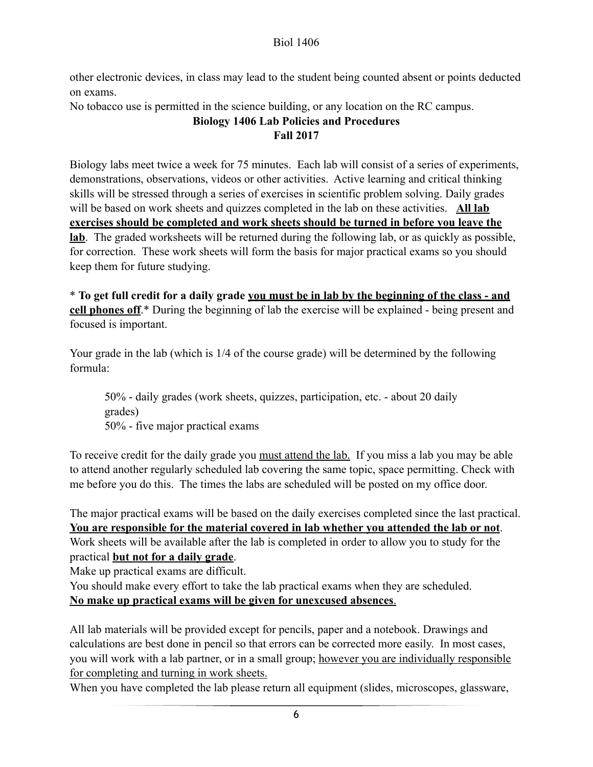other electronic devices, in class may lead to the student being counted absent or points deducted on exams.

No tobacco use is permitted in the science building, or any location on the RC campus.

## **Biology 1406 Lab Policies and Procedures Fall 2017**

Biology labs meet twice a week for 75 minutes. Each lab will consist of a series of experiments, demonstrations, observations, videos or other activities. Active learning and critical thinking skills will be stressed through a series of exercises in scientific problem solving. Daily grades will be based on work sheets and quizzes completed in the lab on these activities. **All lab exercises should be completed and work sheets should be turned in before you leave the lab**. The graded worksheets will be returned during the following lab, or as quickly as possible, for correction. These work sheets will form the basis for major practical exams so you should keep them for future studying.

\* **To get full credit for a daily grade you must be in lab by the beginning of the class - and cell phones off**.\* During the beginning of lab the exercise will be explained - being present and focused is important.

Your grade in the lab (which is 1/4 of the course grade) will be determined by the following formula:

 50% - daily grades (work sheets, quizzes, participation, etc. - about 20 daily grades) 50% - five major practical exams

To receive credit for the daily grade you must attend the lab. If you miss a lab you may be able to attend another regularly scheduled lab covering the same topic, space permitting. Check with me before you do this. The times the labs are scheduled will be posted on my office door.

The major practical exams will be based on the daily exercises completed since the last practical. **You are responsible for the material covered in lab whether you attended the lab or not**. Work sheets will be available after the lab is completed in order to allow you to study for the practical **but not for a daily grade**.

Make up practical exams are difficult.

You should make every effort to take the lab practical exams when they are scheduled. **No make up practical exams will be given for unexcused absences**.

All lab materials will be provided except for pencils, paper and a notebook. Drawings and calculations are best done in pencil so that errors can be corrected more easily. In most cases, you will work with a lab partner, or in a small group; however you are individually responsible for completing and turning in work sheets.

When you have completed the lab please return all equipment (slides, microscopes, glassware,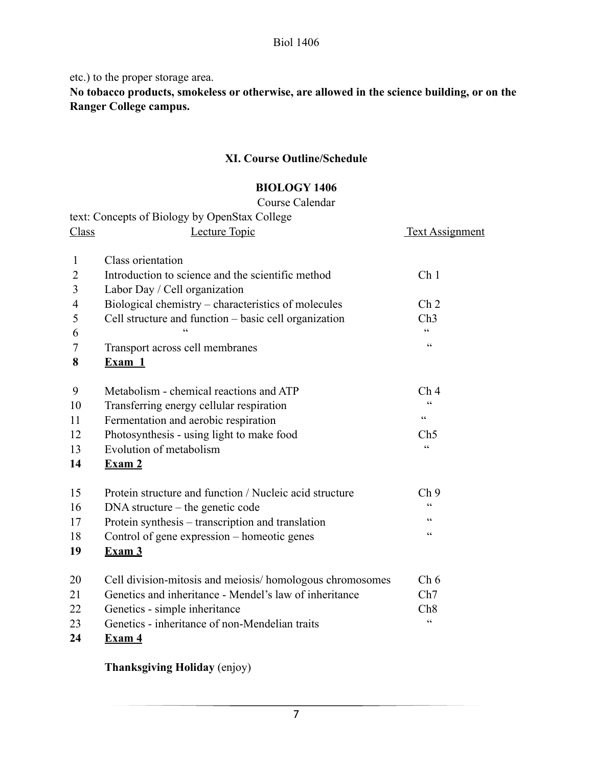etc.) to the proper storage area.

**No tobacco products, smokeless or otherwise, are allowed in the science building, or on the Ranger College campus.** 

## **XI. Course Outline/Schedule**

#### **BIOLOGY 1406**

#### Course Calendar

|                | text: Concepts of Biology by OpenStax College            |                             |
|----------------|----------------------------------------------------------|-----------------------------|
| Class          | Lecture Topic                                            | <b>Text Assignment</b>      |
| $\mathbf{1}$   | Class orientation                                        |                             |
| $\overline{2}$ | Introduction to science and the scientific method        | Ch <sub>1</sub>             |
| 3              | Labor Day / Cell organization                            |                             |
| $\overline{4}$ | Biological chemistry – characteristics of molecules      | Ch <sub>2</sub>             |
| 5              | Cell structure and function - basic cell organization    | Ch3                         |
| 6              |                                                          | $\epsilon$                  |
| 7              | Transport across cell membranes                          | $\pmb{\zeta}$ $\pmb{\zeta}$ |
| 8              | Exam 1                                                   |                             |
| 9              | Metabolism - chemical reactions and ATP                  | Ch <sub>4</sub>             |
| 10             | Transferring energy cellular respiration                 | C                           |
| 11             | Fermentation and aerobic respiration                     | $\zeta$ $\zeta$             |
| 12             | Photosynthesis - using light to make food                | Ch5                         |
| 13             | Evolution of metabolism                                  | $\epsilon$                  |
| 14             | Exam 2                                                   |                             |
| 15             | Protein structure and function / Nucleic acid structure  | Ch <sub>9</sub>             |
| 16             | $DNA$ structure – the genetic code                       | $\epsilon$                  |
| 17             | Protein synthesis – transcription and translation        | cc                          |
| 18             | Control of gene expression - homeotic genes              | cc                          |
| 19             | Exam 3                                                   |                             |
| 20             | Cell division-mitosis and meiosis/homologous chromosomes | Ch 6                        |
| 21             | Genetics and inheritance - Mendel's law of inheritance   | Ch7                         |
| 22             | Genetics - simple inheritance                            | Ch <sub>8</sub>             |
| 23             | Genetics - inheritance of non-Mendelian traits           | $\boldsymbol{\zeta}$        |
| 24             | $\mathbf{Exam}$ 4                                        |                             |

 **Thanksgiving Holiday** (enjoy)